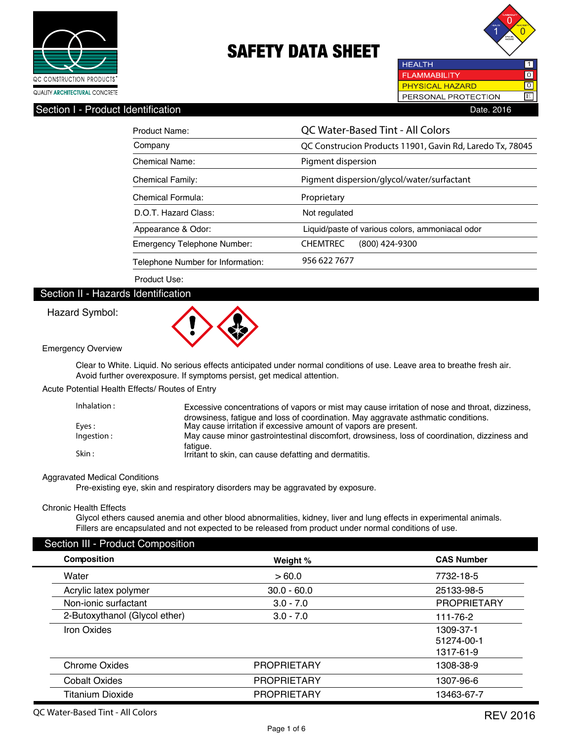



### Section I - Product Identification **Date. 2016** Date. 2016

| Product Name:                     | QC Water-Based Tint - All Colors                          |  |
|-----------------------------------|-----------------------------------------------------------|--|
| Company                           | QC Construcion Products 11901, Gavin Rd, Laredo Tx, 78045 |  |
| Chemical Name:                    | Pigment dispersion                                        |  |
| <b>Chemical Family:</b>           | Pigment dispersion/glycol/water/surfactant                |  |
| Chemical Formula:                 | Proprietary                                               |  |
| D.O.T. Hazard Class:              | Not regulated                                             |  |
| Appearance & Odor:                | Liquid/paste of various colors, ammoniacal odor           |  |
| Emergency Telephone Number:       | <b>CHEMTREC</b><br>$(800)$ 424-9300                       |  |
| Telephone Number for Information: | 956 622 7677                                              |  |

Product Use:

### Section II - Hazards Identification

#### Hazard Symbol:



Emergency Overview

 Clear to White. Liquid. No serious effects anticipated under normal conditions of use. Leave area to breathe fresh air. Avoid further overexposure. If symptoms persist, get medical attention.

Acute Potential Health Effects/ Routes of Entry

| Inhalation: | Excessive concentrations of vapors or mist may cause irritation of nose and throat, dizziness, |
|-------------|------------------------------------------------------------------------------------------------|
|             | drowsiness, fatigue and loss of coordination. May aggravate asthmatic conditions.              |
| Eyes :      | May cause irritation if excessive amount of vapors are present.                                |
| Ingestion:  | May cause minor gastrointestinal discomfort, drowsiness, loss of coordination, dizziness and   |
| Skin :      | fatigue.<br>Irritant to skin, can cause defatting and dermatitis.                              |

#### Aggravated Medical Conditions

Pre-existing eye, skin and respiratory disorders may be aggravated by exposure.

#### Chronic Health Effects

 Glycol ethers caused anemia and other blood abnormalities, kidney, liver and lung effects in experimental animals. Fillers are encapsulated and not expected to be released from product under normal conditions of use.

### Section III - Product Composition

| <b>Composition</b> |                               | Weight %           | <b>CAS Number</b>  |
|--------------------|-------------------------------|--------------------|--------------------|
| Water              |                               | >60.0              | 7732-18-5          |
|                    | Acrylic latex polymer         | $30.0 - 60.0$      | 25133-98-5         |
|                    | Non-ionic surfactant          | $3.0 - 7.0$        | <b>PROPRIETARY</b> |
|                    | 2-Butoxythanol (Glycol ether) | $3.0 - 7.0$        | 111-76-2           |
| Iron Oxides        |                               |                    | 1309-37-1          |
|                    |                               |                    | 51274-00-1         |
|                    |                               |                    | 1317-61-9          |
|                    | <b>Chrome Oxides</b>          | <b>PROPRIETARY</b> | 1308-38-9          |
|                    | <b>Cobalt Oxides</b>          | <b>PROPRIETARY</b> | 1307-96-6          |
|                    | <b>Titanium Dioxide</b>       | <b>PROPRIETARY</b> | 13463-67-7         |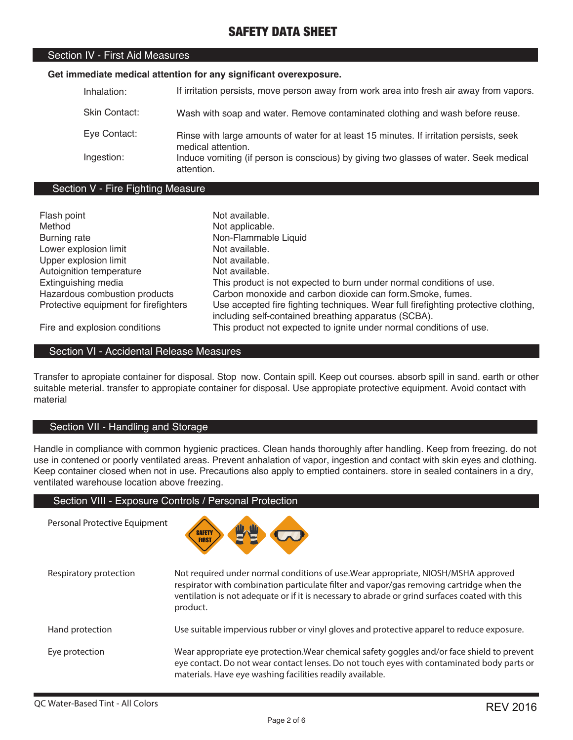### Section IV - First Aid Measures

#### **Get immediate medical attention for any significant overexposure.**

| Inhalation:   | If irritation persists, move person away from work area into fresh air away from vapors.                      |
|---------------|---------------------------------------------------------------------------------------------------------------|
| Skin Contact: | Wash with soap and water. Remove contaminated clothing and wash before reuse.                                 |
| Eye Contact:  | Rinse with large amounts of water for at least 15 minutes. If irritation persists, seek<br>medical attention. |
| Ingestion:    | Induce vomiting (if person is conscious) by giving two glasses of water. Seek medical<br>attention.           |

#### Section V - Fire Fighting Measure

| Flash point                           | Not available.                                                                     |
|---------------------------------------|------------------------------------------------------------------------------------|
| Method                                | Not applicable.                                                                    |
| <b>Burning rate</b>                   | Non-Flammable Liquid                                                               |
| Lower explosion limit                 | Not available.                                                                     |
| Upper explosion limit                 | Not available.                                                                     |
| Autoignition temperature              | Not available.                                                                     |
| Extinguishing media                   | This product is not expected to burn under normal conditions of use.               |
| Hazardous combustion products         | Carbon monoxide and carbon dioxide can form. Smoke, fumes.                         |
| Protective equipment for firefighters | Use accepted fire fighting techniques. Wear full firefighting protective clothing, |
|                                       | including self-contained breathing apparatus (SCBA).                               |
| Fire and explosion conditions         | This product not expected to ignite under normal conditions of use.                |

Section VI - Accidental Release Measures

Transfer to apropiate container for disposal. Stop now. Contain spill. Keep out courses. absorb spill in sand. earth or other suitable meterial. transfer to appropiate container for disposal. Use appropiate protective equipment. Avoid contact with material

### Section VII - Handling and Storage

Handle in compliance with common hygienic practices. Clean hands thoroughly after handling. Keep from freezing. do not use in contened or poorly ventilated areas. Prevent anhalation of vapor, ingestion and contact with skin eyes and clothing. Keep container closed when not in use. Precautions also apply to emptied containers. store in sealed containers in a dry, ventilated warehouse location above freezing.

#### Section VIII - Exposure Controls / Personal Protection

Personal Protective Equipment



| Respiratory protection | Not required under normal conditions of use. Wear appropriate, NIOSH/MSHA approved<br>respirator with combination particulate filter and vapor/gas removing cartridge when the<br>ventilation is not adequate or if it is necessary to abrade or grind surfaces coated with this<br>product. |
|------------------------|----------------------------------------------------------------------------------------------------------------------------------------------------------------------------------------------------------------------------------------------------------------------------------------------|
| Hand protection        | Use suitable impervious rubber or vinyl gloves and protective apparel to reduce exposure.                                                                                                                                                                                                    |
| Eye protection         | Wear appropriate eye protection. Wear chemical safety goggles and/or face shield to prevent<br>eye contact. Do not wear contact lenses. Do not touch eyes with contaminated body parts or<br>materials. Have eye washing facilities readily available.                                       |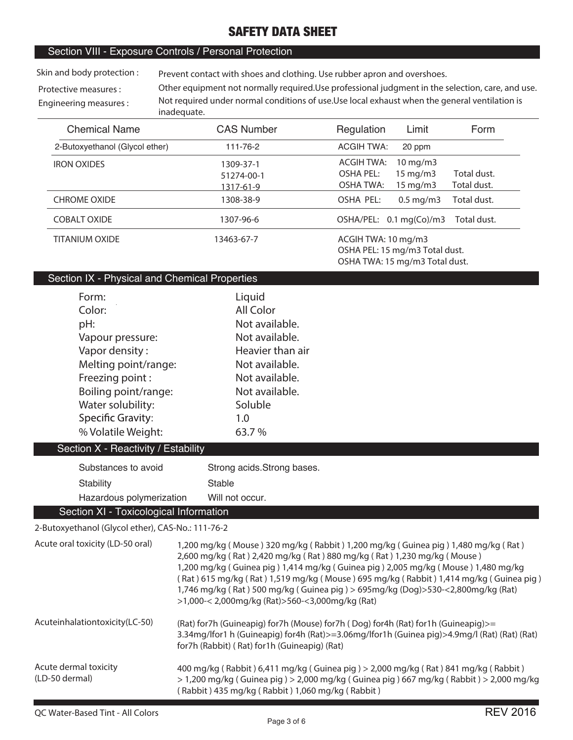### Section VIII - Exposure Controls / Personal Protection

**Skin and body protection :**

**Prevent contact with shoes and clothing. Use rubber apron and overshoes.**

**Protective measures : Engineering measures : Other equipment not normally required.Use professional judgment in the selection, care, and use. Not required under normal conditions of use.Use local exhaust when the general ventilation is inadequate.**

| <b>Chemical Name</b>           | <b>CAS Number</b>                    | Regulation<br>Limit<br>Form                                                                                                                        |
|--------------------------------|--------------------------------------|----------------------------------------------------------------------------------------------------------------------------------------------------|
| 2-Butoxyethanol (Glycol ether) | 111-76-2                             | <b>ACGIH TWA:</b><br>20 ppm                                                                                                                        |
| <b>IRON OXIDES</b>             | 1309-37-1<br>51274-00-1<br>1317-61-9 | ACGIH TWA:<br>$10 \,\mathrm{mg/m}$<br>Total dust.<br><b>OSHA PEL:</b><br>$15 \text{ mg/m}$<br>Total dust.<br><b>OSHA TWA:</b><br>$15 \text{ mg/m}$ |
| <b>CHROME OXIDE</b>            | 1308-38-9                            | Total dust.<br>OSHA PEL:<br>$0.5 \text{ mg/m}$                                                                                                     |
| <b>COBALT OXIDE</b>            | 1307-96-6                            | Total dust.<br>OSHA/PEL: 0.1 mg(Co)/m3                                                                                                             |
| <b>TITANIUM OXIDE</b>          | 13463-67-7                           | ACGIH TWA: 10 mg/m3<br>OSHA PEL: 15 mg/m3 Total dust.<br>OSHA TWA: 15 mg/m3 Total dust.                                                            |

### Section IX - Physical and Chemical Properties

| Form:                               | Liquid                      |
|-------------------------------------|-----------------------------|
| Color:                              | All Color                   |
| pH:                                 | Not available.              |
| Vapour pressure:                    | Not available.              |
| Vapor density:                      | Heavier than air            |
| Melting point/range:                | Not available.              |
| Freezing point:                     | Not available.              |
| Boiling point/range:                | Not available.              |
| Water solubility:                   | Soluble                     |
| <b>Specific Gravity:</b>            | 1.0                         |
| % Volatile Weight:                  | 63.7%                       |
| Section X - Reactivity / Estability |                             |
| Substances to avoid                 | Strong acids. Strong bases. |
| Stability                           | Stable                      |

Section XI - Toxicological Information **2-Butoxyethanol (Glycol ether), CAS-No.: 111-76-2**

Hazardous polymerization

| Acute oral toxicity (LD-50 oral)        | 1,200 mg/kg (Mouse) 320 mg/kg (Rabbit) 1,200 mg/kg (Guinea pig) 1,480 mg/kg (Rat)<br>2,600 mg/kg (Rat) 2,420 mg/kg (Rat) 880 mg/kg (Rat) 1,230 mg/kg (Mouse)<br>1,200 mg/kg (Guinea pig) 1,414 mg/kg (Guinea pig) 2,005 mg/kg (Mouse) 1,480 mg/kg<br>(Rat) 615 mg/kg (Rat) 1,519 mg/kg (Mouse) 695 mg/kg (Rabbit) 1,414 mg/kg (Guinea pig)<br>1,746 mg/kg (Rat) 500 mg/kg (Guinea pig) > 695mg/kg (Dog) > 530-<2,800mg/kg (Rat)<br>>1,000-< 2,000mg/kg (Rat)>560-<3,000mg/kg (Rat) |
|-----------------------------------------|------------------------------------------------------------------------------------------------------------------------------------------------------------------------------------------------------------------------------------------------------------------------------------------------------------------------------------------------------------------------------------------------------------------------------------------------------------------------------------|
| Acuteinhalationtoxicity (LC-50)         | (Rat) for7h (Guineapig) for7h (Mouse) for7h (Dog) for4h (Rat) for1h (Guineapig)>=<br>3.34mg/lfor1 h (Guineapig) for4h (Rat)>=3.06mg/lfor1h (Guinea pig)>4.9mg/l (Rat) (Rat) (Rat)<br>for7h (Rabbit) (Rat) for1h (Guineapig) (Rat)                                                                                                                                                                                                                                                  |
| Acute dermal toxicity<br>(LD-50 dermal) | 400 mg/kg (Rabbit) 6,411 mg/kg (Guinea pig) > 2,000 mg/kg (Rat) 841 mg/kg (Rabbit)<br>$>1,200$ mg/kg (Guinea pig) $>2,000$ mg/kg (Guinea pig) 667 mg/kg (Rabbit) $>2,000$ mg/kg<br>(Rabbit) 435 mg/kg (Rabbit) 1,060 mg/kg (Rabbit)                                                                                                                                                                                                                                                |

Will not occur.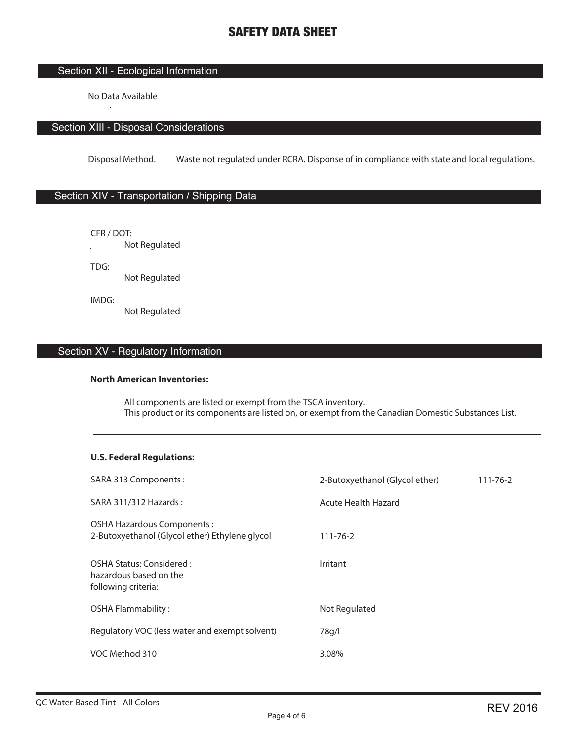### Section XII - Ecological Information

No Data Available

### Section XIII - Disposal Considerations

Disposal Method. Waste not regulated under RCRA. Disponse of in compliance with state and local regulations.

### Section XIV - Transportation / Shipping Data

CFR / DOT: **Not Regulated** 

TDG:

Not Regulated

IMDG: Not Regulated

## Section XV - Regulatory Information

#### **North American Inventories:**

 All components are listed or exempt from the TSCA inventory. This product or its components are listed on, or exempt from the Canadian Domestic Substances List.

### **U.S. Federal Regulations:**

| SARA 313 Components:                                                          | 2-Butoxyethanol (Glycol ether) | $111 - 76 - 2$ |
|-------------------------------------------------------------------------------|--------------------------------|----------------|
| SARA 311/312 Hazards:                                                         | Acute Health Hazard            |                |
| OSHA Hazardous Components :<br>2-Butoxyethanol (Glycol ether) Ethylene glycol | $111 - 76 - 2$                 |                |
| OSHA Status: Considered:<br>hazardous based on the<br>following criteria:     | Irritant                       |                |
| <b>OSHA Flammability:</b>                                                     | Not Regulated                  |                |
| Regulatory VOC (less water and exempt solvent)                                | 78g/l                          |                |
| VOC Method 310                                                                | 3.08%                          |                |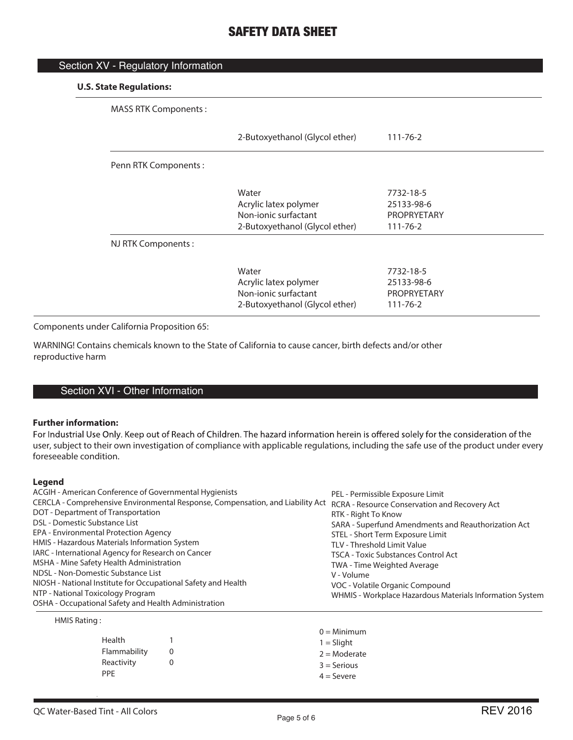| Section XV - Regulatory Information |                                                                                          |                                                                 |
|-------------------------------------|------------------------------------------------------------------------------------------|-----------------------------------------------------------------|
| <b>U.S. State Regulations:</b>      |                                                                                          |                                                                 |
| <b>MASS RTK Components:</b>         |                                                                                          |                                                                 |
|                                     | 2-Butoxyethanol (Glycol ether)                                                           | $111 - 76 - 2$                                                  |
| Penn RTK Components:                |                                                                                          |                                                                 |
|                                     | Water<br>Acrylic latex polymer<br>Non-jonic surfactant<br>2-Butoxyethanol (Glycol ether) | 7732-18-5<br>25133-98-6<br><b>PROPRYETARY</b><br>$111 - 76 - 2$ |
| NJ RTK Components:                  |                                                                                          |                                                                 |
|                                     | Water<br>Acrylic latex polymer<br>Non-ionic surfactant<br>2-Butoxyethanol (Glycol ether) | 7732-18-5<br>25133-98-6<br>PROPRYETARY<br>$111 - 76 - 2$        |

Components under California Proposition 65:

WARNING! Contains chemicals known to the State of California to cause cancer, birth defects and/or other reproductive harm

### Section XVI - Other Information

#### **Further information:**

For Industrial Use Only. Keep out of Reach of Children. The hazard information herein is offered solely for the consideration of the user, subject to their own investigation of compliance with applicable regulations, including the safe use of the product under every foreseeable condition.

#### **Legend**

| ACGIH - American Conference of Governmental Hygienists                                                                       | PEL - Permissible Exposure Limit                         |
|------------------------------------------------------------------------------------------------------------------------------|----------------------------------------------------------|
| CERCLA - Comprehensive Environmental Response, Compensation, and Liability Act RCRA - Resource Conservation and Recovery Act |                                                          |
| DOT - Department of Transportation                                                                                           | RTK - Right To Know                                      |
| DSL - Domestic Substance List                                                                                                | SARA - Superfund Amendments and Reauthorization Act      |
| EPA - Environmental Protection Agency                                                                                        | STEL - Short Term Exposure Limit                         |
| HMIS - Hazardous Materials Information System                                                                                | TLV - Threshold Limit Value                              |
| IARC - International Agency for Research on Cancer                                                                           | <b>TSCA - Toxic Substances Control Act</b>               |
| MSHA - Mine Safety Health Administration                                                                                     | TWA - Time Weighted Average                              |
| NDSL - Non-Domestic Substance List                                                                                           | V - Volume                                               |
| NIOSH - National Institute for Occupational Safety and Health                                                                | VOC - Volatile Organic Compound                          |
| NTP - National Toxicology Program                                                                                            | WHMIS - Workplace Hazardous Materials Information System |
| OSHA - Occupational Safety and Health Administration                                                                         |                                                          |

#### HMIS Rating :

|                          | $0 =$ Minimum  |
|--------------------------|----------------|
| Health                   | $1 = S$ liaht  |
| Flammability             | $2 =$ Moderate |
| Reactivity<br><b>PPF</b> | $3 =$ Serious  |
|                          | $4 =$ Severe   |